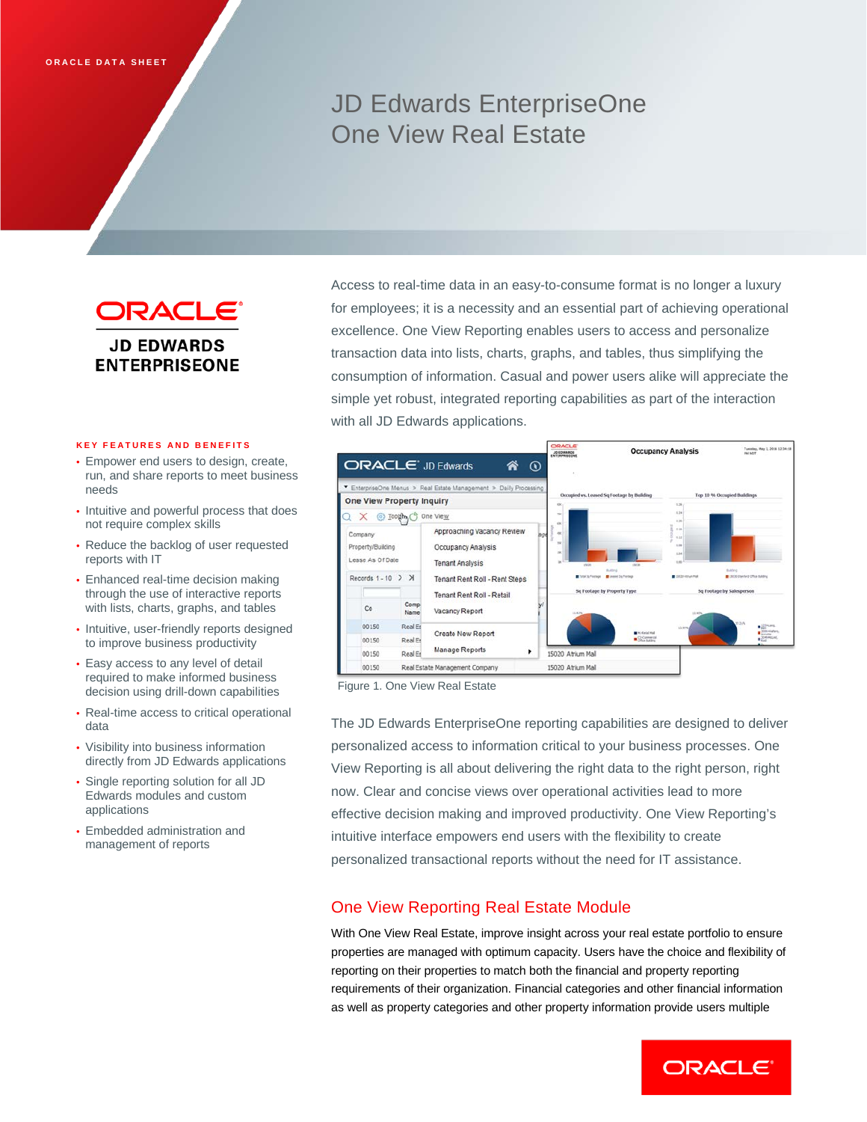# JD Edwards EnterpriseOne One View Real Estate

ORACLE® **JD EDWARDS ENTERPRISEONE** 

### **KEY FEATURES AND BENEFITS**

- Empower end users to design, create, run, and share reports to meet business needs
- Intuitive and powerful process that does not require complex skills
- Reduce the backlog of user requested reports with IT
- Enhanced real-time decision making through the use of interactive reports with lists, charts, graphs, and tables
- Intuitive, user-friendly reports designed to improve business productivity
- Easy access to any level of detail required to make informed business decision using drill-down capabilities
- Real-time access to critical operational data
- Visibility into business information directly from JD Edwards applications
- Single reporting solution for all JD Edwards modules and custom applications
- Embedded administration and management of reports

Access to real-time data in an easy-to-consume format is no longer a luxury for employees; it is a necessity and an essential part of achieving operational excellence. One View Reporting enables users to access and personalize transaction data into lists, charts, graphs, and tables, thus simplifying the consumption of information. Casual and power users alike will appreciate the simple yet robust, integrated reporting capabilities as part of the interaction with all JD Edwards applications.



Figure 1. One View Real Estate

The JD Edwards EnterpriseOne reporting capabilities are designed to deliver personalized access to information critical to your business processes. One View Reporting is all about delivering the right data to the right person, right now. Clear and concise views over operational activities lead to more effective decision making and improved productivity. One View Reporting's intuitive interface empowers end users with the flexibility to create personalized transactional reports without the need for IT assistance.

# One View Reporting Real Estate Module

With One View Real Estate, improve insight across your real estate portfolio to ensure properties are managed with optimum capacity. Users have the choice and flexibility of reporting on their properties to match both the financial and property reporting requirements of their organization. Financial categories and other financial information as well as property categories and other property information provide users multiple